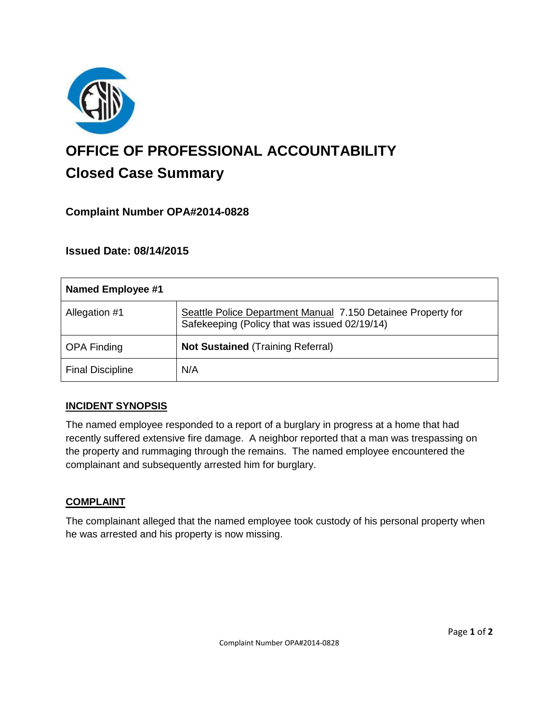

# **OFFICE OF PROFESSIONAL ACCOUNTABILITY Closed Case Summary**

## **Complaint Number OPA#2014-0828**

### **Issued Date: 08/14/2015**

| Named Employee #1       |                                                                                                               |
|-------------------------|---------------------------------------------------------------------------------------------------------------|
| Allegation #1           | Seattle Police Department Manual 7.150 Detainee Property for<br>Safekeeping (Policy that was issued 02/19/14) |
| <b>OPA Finding</b>      | <b>Not Sustained (Training Referral)</b>                                                                      |
| <b>Final Discipline</b> | N/A                                                                                                           |

### **INCIDENT SYNOPSIS**

The named employee responded to a report of a burglary in progress at a home that had recently suffered extensive fire damage. A neighbor reported that a man was trespassing on the property and rummaging through the remains. The named employee encountered the complainant and subsequently arrested him for burglary.

### **COMPLAINT**

The complainant alleged that the named employee took custody of his personal property when he was arrested and his property is now missing.